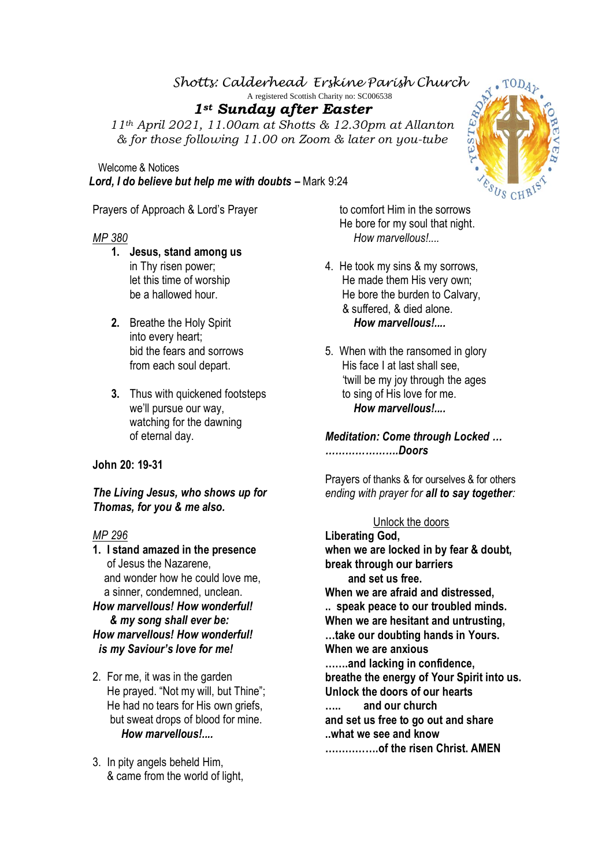## *Shotts: Calderhead Erskine Parish Church*

A registered Scottish Charity no: SC006538

# *1st Sunday after Easter*

*11th April 2021, 11.00am at Shotts & 12.30pm at Allanton & for those following 11.00 on Zoom & later on you-tube*

 Welcome & Notices *Lord, I do believe but help me with doubts* **–** Mark 9:24

Prayers of Approach & Lord's Prayer

## *MP 380*

- **1. Jesus, stand among us** in Thy risen power; let this time of worship be a hallowed hour.
- **2.** Breathe the Holy Spirit into every heart; bid the fears and sorrows from each soul depart.
- **3.** Thus with quickened footsteps we'll pursue our way, watching for the dawning of eternal day.

## **John 20: 19-31**

*The Living Jesus, who shows up for Thomas, for you & me also.* 

### *MP 296*

**1. I stand amazed in the presence** of Jesus the Nazarene, and wonder how he could love me, a sinner, condemned, unclean. *How marvellous! How wonderful! & my song shall ever be:*

# *How marvellous! How wonderful! is my Saviour's love for me!*

- 2. For me, it was in the garden He prayed. "Not my will, but Thine"; He had no tears for His own griefs. but sweat drops of blood for mine. *How marvellous!....*
- 3. In pity angels beheld Him, & came from the world of light,

 to comfort Him in the sorrows He bore for my soul that night. *How marvellous!....*

- 4. He took my sins & my sorrows, He made them His very own; He bore the burden to Calvary, & suffered, & died alone. *How marvellous!....*
- 5. When with the ransomed in glory His face I at last shall see, 'twill be my joy through the ages to sing of His love for me. *How marvellous!....*

*Meditation: Come through Locked … ………………….Doors*

Prayers of thanks & for ourselves & for others *ending with prayer for all to say together:* 

### Unlock the doors

**Liberating God, when we are locked in by fear & doubt, break through our barriers and set us free. When we are afraid and distressed, .. speak peace to our troubled minds. When we are hesitant and untrusting, …take our doubting hands in Yours. When we are anxious …….and lacking in confidence, breathe the energy of Your Spirit into us. Unlock the doors of our hearts ….. and our church and set us free to go out and share ..what we see and know …………….of the risen Christ. AMEN**